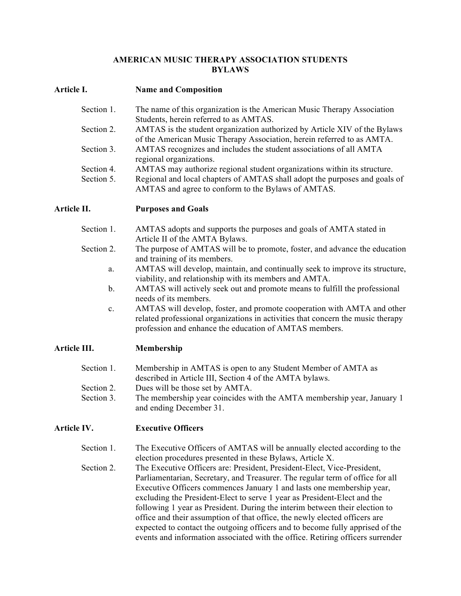### **AMERICAN MUSIC THERAPY ASSOCIATION STUDENTS BYLAWS**

## **Article I. Name and Composition**

| Section 1. | The name of this organization is the American Music Therapy Association    |
|------------|----------------------------------------------------------------------------|
|            | Students, herein referred to as AMTAS.                                     |
| Section 2. | AMTAS is the student organization authorized by Article XIV of the Bylaws  |
|            | of the American Music Therapy Association, herein referred to as AMTA.     |
| Section 3. | AMTAS recognizes and includes the student associations of all AMTA         |
|            | regional organizations.                                                    |
| Section 4. | AMTAS may authorize regional student organizations within its structure.   |
| Section 5. | Regional and local chapters of AMTAS shall adopt the purposes and goals of |
|            | AMTAS and agree to conform to the Bylaws of AMTAS.                         |

**Article II. Purposes and Goals**

- Section 1. AMTAS adopts and supports the purposes and goals of AMTA stated in Article II of the AMTA Bylaws.
- Section 2. The purpose of AMTAS will be to promote, foster, and advance the education and training of its members.
	- a. AMTAS will develop, maintain, and continually seek to improve its structure, viability, and relationship with its members and AMTA.
	- b. AMTAS will actively seek out and promote means to fulfill the professional needs of its members.
	- c. AMTAS will develop, foster, and promote cooperation with AMTA and other related professional organizations in activities that concern the music therapy profession and enhance the education of AMTAS members.

# **Article III. Membership**

| Section 1. | Membership in AMTAS is open to any Student Member of AMTA as           |
|------------|------------------------------------------------------------------------|
|            | described in Article III, Section 4 of the AMTA bylaws.                |
| Section 2. | Dues will be those set by AMTA.                                        |
| Section 3. | The membership year coincides with the AMTA membership year, January 1 |
|            | and ending December 31.                                                |

# **Article IV. Executive Officers**

- Section 1. The Executive Officers of AMTAS will be annually elected according to the election procedures presented in these Bylaws, Article X.
- Section 2. The Executive Officers are: President, President-Elect, Vice-President, Parliamentarian, Secretary, and Treasurer. The regular term of office for all Executive Officers commences January 1 and lasts one membership year, excluding the President-Elect to serve 1 year as President-Elect and the following 1 year as President. During the interim between their election to office and their assumption of that office, the newly elected officers are expected to contact the outgoing officers and to become fully apprised of the events and information associated with the office. Retiring officers surrender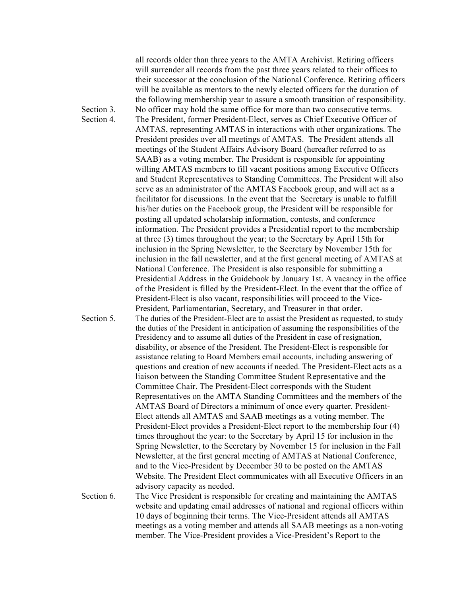all records older than three years to the AMTA Archivist. Retiring officers will surrender all records from the past three years related to their offices to their successor at the conclusion of the National Conference. Retiring officers will be available as mentors to the newly elected officers for the duration of the following membership year to assure a smooth transition of responsibility. Section 3. No officer may hold the same office for more than two consecutive terms. Section 4. The President, former President-Elect, serves as Chief Executive Officer of AMTAS, representing AMTAS in interactions with other organizations. The President presides over all meetings of AMTAS. The President attends all meetings of the Student Affairs Advisory Board (hereafter referred to as SAAB) as a voting member. The President is responsible for appointing willing AMTAS members to fill vacant positions among Executive Officers and Student Representatives to Standing Committees. The President will also serve as an administrator of the AMTAS Facebook group, and will act as a facilitator for discussions. In the event that the Secretary is unable to fulfill his/her duties on the Facebook group, the President will be responsible for posting all updated scholarship information, contests, and conference information. The President provides a Presidential report to the membership at three (3) times throughout the year; to the Secretary by April 15th for inclusion in the Spring Newsletter, to the Secretary by November 15th for inclusion in the fall newsletter, and at the first general meeting of AMTAS at National Conference. The President is also responsible for submitting a Presidential Address in the Guidebook by January 1st. A vacancy in the office of the President is filled by the President-Elect. In the event that the office of President-Elect is also vacant, responsibilities will proceed to the Vice-President, Parliamentarian, Secretary, and Treasurer in that order. Section 5. The duties of the President-Elect are to assist the President as requested, to study the duties of the President in anticipation of assuming the responsibilities of the Presidency and to assume all duties of the President in case of resignation, disability, or absence of the President. The President-Elect is responsible for assistance relating to Board Members email accounts, including answering of questions and creation of new accounts if needed. The President-Elect acts as a liaison between the Standing Committee Student Representative and the Committee Chair. The President-Elect corresponds with the Student Representatives on the AMTA Standing Committees and the members of the AMTAS Board of Directors a minimum of once every quarter. President-Elect attends all AMTAS and SAAB meetings as a voting member. The President-Elect provides a President-Elect report to the membership four (4) times throughout the year: to the Secretary by April 15 for inclusion in the Spring Newsletter, to the Secretary by November 15 for inclusion in the Fall Newsletter, at the first general meeting of AMTAS at National Conference, and to the Vice-President by December 30 to be posted on the AMTAS Website. The President Elect communicates with all Executive Officers in an advisory capacity as needed. Section 6. The Vice President is responsible for creating and maintaining the AMTAS website and updating email addresses of national and regional officers within 10 days of beginning their terms. The Vice-President attends all AMTAS meetings as a voting member and attends all SAAB meetings as a non-voting

member. The Vice-President provides a Vice-President's Report to the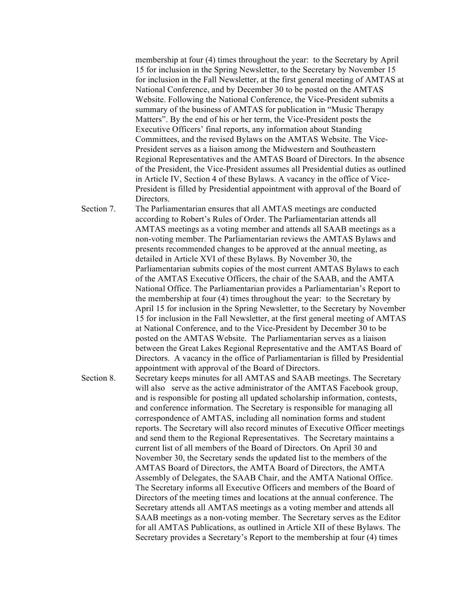membership at four (4) times throughout the year: to the Secretary by April 15 for inclusion in the Spring Newsletter, to the Secretary by November 15 for inclusion in the Fall Newsletter, at the first general meeting of AMTAS at National Conference, and by December 30 to be posted on the AMTAS Website. Following the National Conference, the Vice-President submits a summary of the business of AMTAS for publication in "Music Therapy Matters". By the end of his or her term, the Vice-President posts the Executive Officers' final reports, any information about Standing Committees, and the revised Bylaws on the AMTAS Website. The Vice-President serves as a liaison among the Midwestern and Southeastern Regional Representatives and the AMTAS Board of Directors. In the absence of the President, the Vice-President assumes all Presidential duties as outlined in Article IV, Section 4 of these Bylaws. A vacancy in the office of Vice-President is filled by Presidential appointment with approval of the Board of Directors.

Section 7. The Parliamentarian ensures that all AMTAS meetings are conducted according to Robert's Rules of Order. The Parliamentarian attends all AMTAS meetings as a voting member and attends all SAAB meetings as a non-voting member. The Parliamentarian reviews the AMTAS Bylaws and presents recommended changes to be approved at the annual meeting, as detailed in Article XVI of these Bylaws. By November 30, the Parliamentarian submits copies of the most current AMTAS Bylaws to each of the AMTAS Executive Officers, the chair of the SAAB, and the AMTA National Office. The Parliamentarian provides a Parliamentarian's Report to the membership at four (4) times throughout the year: to the Secretary by April 15 for inclusion in the Spring Newsletter, to the Secretary by November 15 for inclusion in the Fall Newsletter, at the first general meeting of AMTAS at National Conference, and to the Vice-President by December 30 to be posted on the AMTAS Website. The Parliamentarian serves as a liaison between the Great Lakes Regional Representative and the AMTAS Board of Directors. A vacancy in the office of Parliamentarian is filled by Presidential appointment with approval of the Board of Directors.

Section 8. Secretary keeps minutes for all AMTAS and SAAB meetings. The Secretary will also serve as the active administrator of the AMTAS Facebook group, and is responsible for posting all updated scholarship information, contests, and conference information. The Secretary is responsible for managing all correspondence of AMTAS, including all nomination forms and student reports. The Secretary will also record minutes of Executive Officer meetings and send them to the Regional Representatives. The Secretary maintains a current list of all members of the Board of Directors. On April 30 and November 30, the Secretary sends the updated list to the members of the AMTAS Board of Directors, the AMTA Board of Directors, the AMTA Assembly of Delegates, the SAAB Chair, and the AMTA National Office. The Secretary informs all Executive Officers and members of the Board of Directors of the meeting times and locations at the annual conference. The Secretary attends all AMTAS meetings as a voting member and attends all SAAB meetings as a non-voting member. The Secretary serves as the Editor for all AMTAS Publications, as outlined in Article XII of these Bylaws. The Secretary provides a Secretary's Report to the membership at four (4) times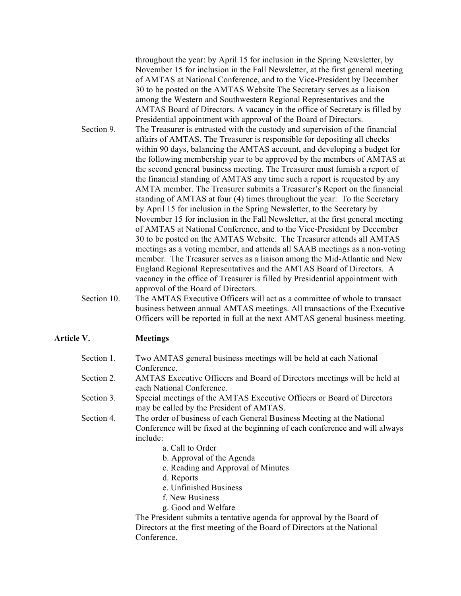throughout the year: by April 15 for inclusion in the Spring Newsletter, by November 15 for inclusion in the Fall Newsletter, at the first general meeting of AMTAS at National Conference, and to the Vice-President by December 30 to be posted on the AMTAS Website The Secretary serves as a liaison among the Western and Southwestern Regional Representatives and the AMTAS Board of Directors. A vacancy in the office of Secretary is filled by Presidential appointment with approval of the Board of Directors.

- Section 9. The Treasurer is entrusted with the custody and supervision of the financial affairs of AMTAS. The Treasurer is responsible for depositing all checks within 90 days, balancing the AMTAS account, and developing a budget for the following membership year to be approved by the members of AMTAS at the second general business meeting. The Treasurer must furnish a report of the financial standing of AMTAS any time such a report is requested by any AMTA member. The Treasurer submits a Treasurer's Report on the financial standing of AMTAS at four (4) times throughout the year: To the Secretary by April 15 for inclusion in the Spring Newsletter, to the Secretary by November 15 for inclusion in the Fall Newsletter, at the first general meeting of AMTAS at National Conference, and to the Vice-President by December 30 to be posted on the AMTAS Website. The Treasurer attends all AMTAS meetings as a voting member, and attends all SAAB meetings as a non-voting member. The Treasurer serves as a liaison among the Mid-Atlantic and New England Regional Representatives and the AMTAS Board of Directors. A vacancy in the office of Treasurer is filled by Presidential appointment with approval of the Board of Directors.
- Section 10. The AMTAS Executive Officers will act as a committee of whole to transact business between annual AMTAS meetings. All transactions of the Executive Officers will be reported in full at the next AMTAS general business meeting.

#### **Article V. Meetings**

| Section 1. | Two AMTAS general business meetings will be held at each National                                                                                                  |
|------------|--------------------------------------------------------------------------------------------------------------------------------------------------------------------|
|            | Conference.                                                                                                                                                        |
| Section 2. | <b>AMTAS</b> Executive Officers and Board of Directors meetings will be held at<br>each National Conference.                                                       |
| Section 3. | Special meetings of the AMTAS Executive Officers or Board of Directors<br>may be called by the President of AMTAS.                                                 |
| Section 4. | The order of business of each General Business Meeting at the National<br>Conference will be fixed at the beginning of each conference and will always<br>include: |
|            | a. Call to Order                                                                                                                                                   |
|            | b. Approval of the Agenda                                                                                                                                          |
|            | c. Reading and Approval of Minutes                                                                                                                                 |
|            | d. Reports                                                                                                                                                         |
|            | e. Unfinished Business                                                                                                                                             |
|            | f. New Business                                                                                                                                                    |
|            | g. Good and Welfare                                                                                                                                                |
|            | The President submits a tentative agenda for approval by the Board of                                                                                              |

dent submits a tentative agenda for approval by the Boa Directors at the first meeting of the Board of Directors at the National Conference.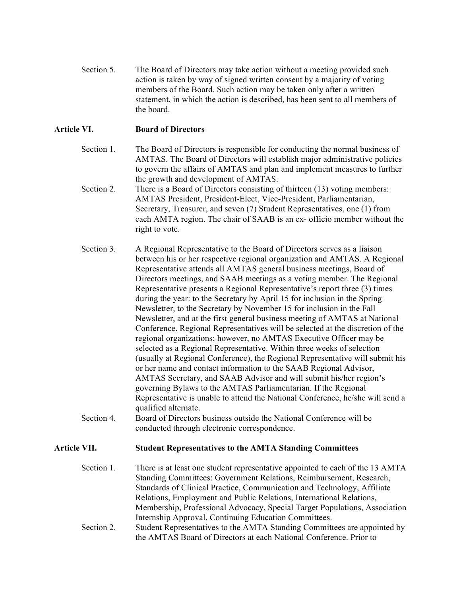Section 5. The Board of Directors may take action without a meeting provided such action is taken by way of signed written consent by a majority of voting members of the Board. Such action may be taken only after a written statement, in which the action is described, has been sent to all members of the board.

## **Article VI. Board of Directors**

- Section 1. The Board of Directors is responsible for conducting the normal business of AMTAS. The Board of Directors will establish major administrative policies to govern the affairs of AMTAS and plan and implement measures to further the growth and development of AMTAS.
- Section 2. There is a Board of Directors consisting of thirteen (13) voting members: AMTAS President, President-Elect, Vice-President, Parliamentarian, Secretary, Treasurer, and seven (7) Student Representatives, one (1) from each AMTA region. The chair of SAAB is an ex- officio member without the right to vote.
- Section 3. A Regional Representative to the Board of Directors serves as a liaison between his or her respective regional organization and AMTAS. A Regional Representative attends all AMTAS general business meetings, Board of Directors meetings, and SAAB meetings as a voting member. The Regional Representative presents a Regional Representative's report three (3) times during the year: to the Secretary by April 15 for inclusion in the Spring Newsletter, to the Secretary by November 15 for inclusion in the Fall Newsletter, and at the first general business meeting of AMTAS at National Conference. Regional Representatives will be selected at the discretion of the regional organizations; however, no AMTAS Executive Officer may be selected as a Regional Representative. Within three weeks of selection (usually at Regional Conference), the Regional Representative will submit his or her name and contact information to the SAAB Regional Advisor, AMTAS Secretary, and SAAB Advisor and will submit his/her region's governing Bylaws to the AMTAS Parliamentarian. If the Regional Representative is unable to attend the National Conference, he/she will send a qualified alternate.
- Section 4. Board of Directors business outside the National Conference will be conducted through electronic correspondence.

## **Article VII. Student Representatives to the AMTA Standing Committees**

Section 1. There is at least one student representative appointed to each of the 13 AMTA Standing Committees: Government Relations, Reimbursement, Research, Standards of Clinical Practice, Communication and Technology, Affiliate Relations, Employment and Public Relations, International Relations, Membership, Professional Advocacy, Special Target Populations, Association Internship Approval, Continuing Education Committees. Section 2. Student Representatives to the AMTA Standing Committees are appointed by the AMTAS Board of Directors at each National Conference. Prior to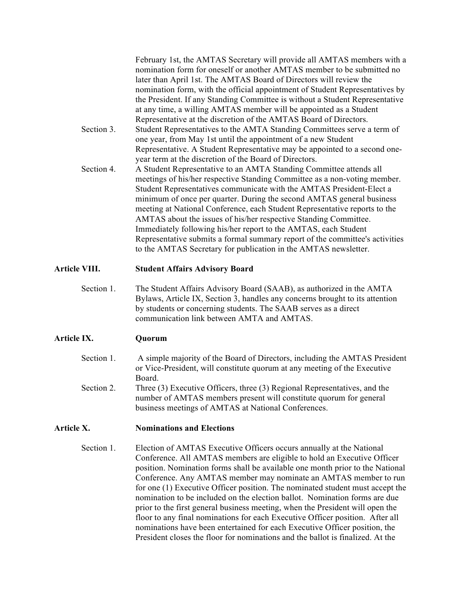|            | February 1st, the AMTAS Secretary will provide all AMTAS members with a<br>nomination form for oneself or another AMTAS member to be submitted no<br>later than April 1st. The AMTAS Board of Directors will review the |
|------------|-------------------------------------------------------------------------------------------------------------------------------------------------------------------------------------------------------------------------|
|            | nomination form, with the official appointment of Student Representatives by                                                                                                                                            |
|            | the President. If any Standing Committee is without a Student Representative                                                                                                                                            |
|            | at any time, a willing AMTAS member will be appointed as a Student                                                                                                                                                      |
|            | Representative at the discretion of the AMTAS Board of Directors.                                                                                                                                                       |
| Section 3. | Student Representatives to the AMTA Standing Committees serve a term of                                                                                                                                                 |
|            | one year, from May 1st until the appointment of a new Student                                                                                                                                                           |
|            | Representative. A Student Representative may be appointed to a second one-                                                                                                                                              |
|            | year term at the discretion of the Board of Directors.                                                                                                                                                                  |
| Section 4. | A Student Representative to an AMTA Standing Committee attends all                                                                                                                                                      |
|            | meetings of his/her respective Standing Committee as a non-voting member.                                                                                                                                               |
|            | Student Representatives communicate with the AMTAS President-Elect a                                                                                                                                                    |
|            | minimum of once per quarter. During the second AMTAS general business                                                                                                                                                   |
|            | meeting at National Conference, each Student Representative reports to the                                                                                                                                              |
|            | AMTAS about the issues of his/her respective Standing Committee.                                                                                                                                                        |
|            | Immediately following his/her report to the AMTAS, each Student                                                                                                                                                         |
|            | Representative submits a formal summary report of the committee's activities                                                                                                                                            |
|            | to the AMTAS Secretary for publication in the AMTAS newsletter.                                                                                                                                                         |

## **Article VIII. Student Affairs Advisory Board**

Section 1. The Student Affairs Advisory Board (SAAB), as authorized in the AMTA Bylaws, Article IX, Section 3, handles any concerns brought to its attention by students or concerning students. The SAAB serves as a direct communication link between AMTA and AMTAS.

## **Article IX. Quorum**

Section 1. A simple majority of the Board of Directors, including the AMTAS President or Vice-President, will constitute quorum at any meeting of the Executive Board. Section 2. Three (3) Executive Officers, three (3) Regional Representatives, and the number of AMTAS members present will constitute quorum for general

business meetings of AMTAS at National Conferences.

#### **Article X. Nominations and Elections**

Section 1. Election of AMTAS Executive Officers occurs annually at the National Conference. All AMTAS members are eligible to hold an Executive Officer position. Nomination forms shall be available one month prior to the National Conference. Any AMTAS member may nominate an AMTAS member to run for one (1) Executive Officer position. The nominated student must accept the nomination to be included on the election ballot. Nomination forms are due prior to the first general business meeting, when the President will open the floor to any final nominations for each Executive Officer position. After all nominations have been entertained for each Executive Officer position, the President closes the floor for nominations and the ballot is finalized. At the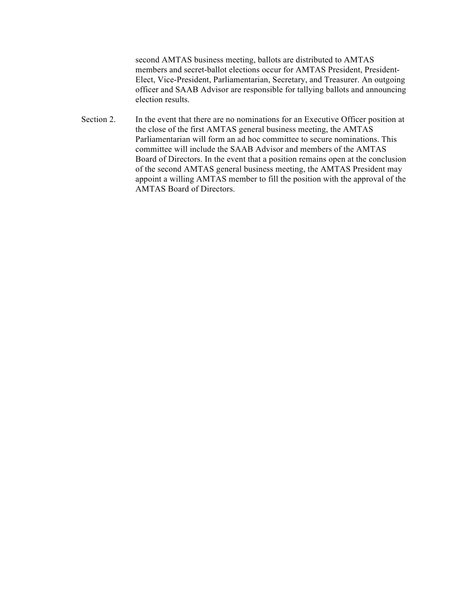second AMTAS business meeting, ballots are distributed to AMTAS members and secret-ballot elections occur for AMTAS President, President-Elect, Vice-President, Parliamentarian, Secretary, and Treasurer. An outgoing officer and SAAB Advisor are responsible for tallying ballots and announcing election results.

Section 2. In the event that there are no nominations for an Executive Officer position at the close of the first AMTAS general business meeting, the AMTAS Parliamentarian will form an ad hoc committee to secure nominations. This committee will include the SAAB Advisor and members of the AMTAS Board of Directors. In the event that a position remains open at the conclusion of the second AMTAS general business meeting, the AMTAS President may appoint a willing AMTAS member to fill the position with the approval of the AMTAS Board of Directors.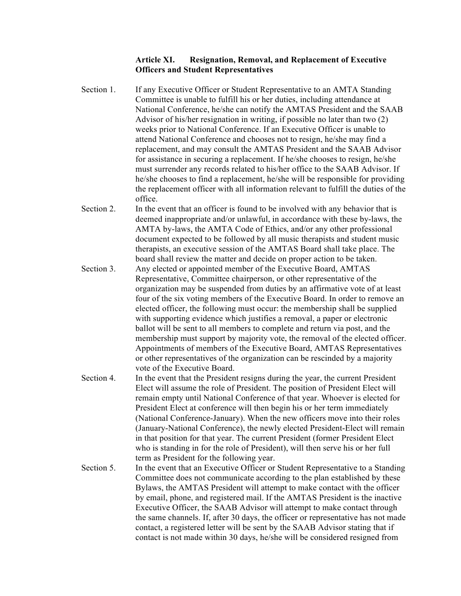#### **Article XI. Resignation, Removal, and Replacement of Executive Officers and Student Representatives**

- Section 1. If any Executive Officer or Student Representative to an AMTA Standing Committee is unable to fulfill his or her duties, including attendance at National Conference, he/she can notify the AMTAS President and the SAAB Advisor of his/her resignation in writing, if possible no later than two (2) weeks prior to National Conference. If an Executive Officer is unable to attend National Conference and chooses not to resign, he/she may find a replacement, and may consult the AMTAS President and the SAAB Advisor for assistance in securing a replacement. If he/she chooses to resign, he/she must surrender any records related to his/her office to the SAAB Advisor. If he/she chooses to find a replacement, he/she will be responsible for providing the replacement officer with all information relevant to fulfill the duties of the office.
- Section 2. In the event that an officer is found to be involved with any behavior that is deemed inappropriate and/or unlawful, in accordance with these by-laws, the AMTA by-laws, the AMTA Code of Ethics, and/or any other professional document expected to be followed by all music therapists and student music therapists, an executive session of the AMTAS Board shall take place. The board shall review the matter and decide on proper action to be taken.
- Section 3. Any elected or appointed member of the Executive Board, AMTAS Representative, Committee chairperson, or other representative of the organization may be suspended from duties by an affirmative vote of at least four of the six voting members of the Executive Board. In order to remove an elected officer, the following must occur: the membership shall be supplied with supporting evidence which justifies a removal, a paper or electronic ballot will be sent to all members to complete and return via post, and the membership must support by majority vote, the removal of the elected officer. Appointments of members of the Executive Board, AMTAS Representatives or other representatives of the organization can be rescinded by a majority vote of the Executive Board.
- Section 4. In the event that the President resigns during the year, the current President Elect will assume the role of President. The position of President Elect will remain empty until National Conference of that year. Whoever is elected for President Elect at conference will then begin his or her term immediately (National Conference-January). When the new officers move into their roles (January-National Conference), the newly elected President-Elect will remain in that position for that year. The current President (former President Elect who is standing in for the role of President), will then serve his or her full term as President for the following year.
- Section 5. In the event that an Executive Officer or Student Representative to a Standing Committee does not communicate according to the plan established by these Bylaws, the AMTAS President will attempt to make contact with the officer by email, phone, and registered mail. If the AMTAS President is the inactive Executive Officer, the SAAB Advisor will attempt to make contact through the same channels. If, after 30 days, the officer or representative has not made contact, a registered letter will be sent by the SAAB Advisor stating that if contact is not made within 30 days, he/she will be considered resigned from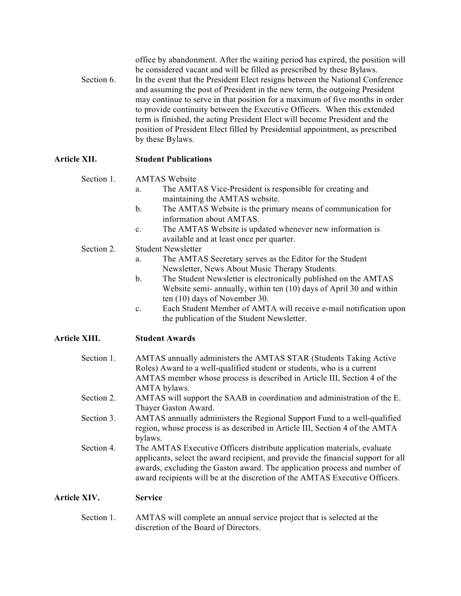|            | office by abandonment. After the waiting period has expired, the position will |
|------------|--------------------------------------------------------------------------------|
|            | be considered vacant and will be filled as prescribed by these Bylaws.         |
| Section 6. | In the event that the President Elect resigns between the National Conference  |
|            | and assuming the post of President in the new term, the outgoing President     |
|            | may continue to serve in that position for a maximum of five months in order   |
|            | to provide continuity between the Executive Officers. When this extended       |
|            | term is finished, the acting President Elect will become President and the     |
|            | position of President Elect filled by Presidential appointment, as prescribed  |
|            | by these Bylaws.                                                               |

## **Article XII. Student Publications**

#### Section 1. AMTAS Website

- a. The AMTAS Vice-President is responsible for creating and maintaining the AMTAS website.
- b. The AMTAS Website is the primary means of communication for information about AMTAS.
- c. The AMTAS Website is updated whenever new information is available and at least once per quarter.

## Section 2. Student Newsletter

- a. The AMTAS Secretary serves as the Editor for the Student Newsletter, News About Music Therapy Students.
- b. The Student Newsletter is electronically published on the AMTAS Website semi- annually, within ten (10) days of April 30 and within ten (10) days of November 30.
- c. Each Student Member of AMTA will receive e-mail notification upon the publication of the Student Newsletter.

## **Article XIII. Student Awards**

| applicants, select the award recipient, and provide the financial support for all<br>awards, excluding the Gaston award. The application process and number of<br>award recipients will be at the discretion of the AMTAS Executive Officers.         |  |
|-------------------------------------------------------------------------------------------------------------------------------------------------------------------------------------------------------------------------------------------------------|--|
| Section 4.<br>The AMTAS Executive Officers distribute application materials, evaluate                                                                                                                                                                 |  |
| Section 3.<br>AMTAS annually administers the Regional Support Fund to a well-qualified<br>region, whose process is as described in Article III, Section 4 of the AMTA<br>bylaws.                                                                      |  |
| Section 2.<br>AMTAS will support the SAAB in coordination and administration of the E.<br>Thayer Gaston Award.                                                                                                                                        |  |
| Section 1.<br>AMTAS annually administers the AMTAS STAR (Students Taking Active<br>Roles) Award to a well-qualified student or students, who is a current<br>AMTAS member whose process is described in Article III, Section 4 of the<br>AMTA bylaws. |  |

Section 1. AMTAS will complete an annual service project that is selected at the discretion of the Board of Directors.